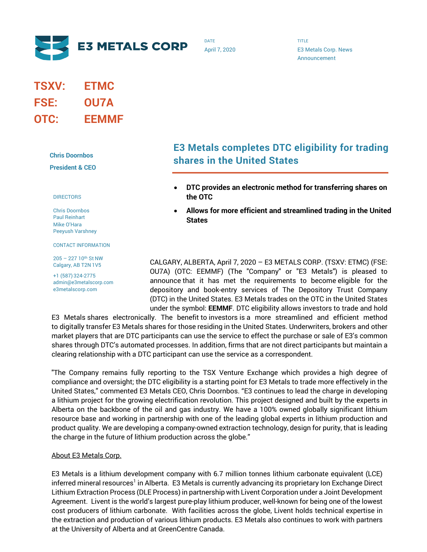

DATE April 7, 2020 TITLE E3 Metals Corp. News Announcement

# **TSXV: ETMC FSE: OU7A OTC: EEMMF**

**Chris Doornbos**

**President & CEO**

#### DIRECTORS

Chris Doornbos Paul Reinhart Mike O'Hara Peeyush Varshney

CONTACT INFORMATION

205 – 227 10th St NW Calgary, AB T2N 1V5

+1 (587) 324-2775 admin@e3metalscorp.com e3metalscorp.com

## **E3 Metals completes DTC eligibility for trading shares in the United States**

- **DTC provides an electronic method for transferring shares on the OTC**
- **Allows for more efficient and streamlined trading in the United States**

CALGARY, ALBERTA, April 7, 2020 – E3 METALS CORP. (TSXV: ETMC) (FSE: OU7A) (OTC: EEMMF) (The "Company" or "E3 Metals") is pleased to announce that it has met the requirements to become eligible for the depository and book-entry services of The Depository Trust Company (DTC) in the United States. E3 Metals trades on the OTC in the United States under the symbol: **EEMMF**. DTC eligibility allows investors to trade and hold

E3 Metals shares electronically. The benefit to investors is a more streamlined and efficient method to digitally transfer E3 Metals shares for those residing in the United States. Underwriters, brokers and other market players that are DTC participants can use the service to effect the purchase or sale of E3's common shares through DTC's automated processes. In addition, firms that are not direct participants but maintain a clearing relationship with a DTC participant can use the service as a correspondent.

"The Company remains fully reporting to the TSX Venture Exchange which provides a high degree of compliance and oversight; the DTC eligibility is a starting point for E3 Metals to trade more effectively in the United States," commented E3 Metals CEO, Chris Doornbos. "E3 continues to lead the charge in developing a lithium project for the growing electrification revolution. This project designed and built by the experts in Alberta on the backbone of the oil and gas industry. We have a 100% owned globally significant lithium resource base and working in partnership with one of the leading global experts in lithium production and product quality. We are developing a company-owned extraction technology, design for purity, that is leading the charge in the future of lithium production across the globe."

#### About E3 Metals Corp.

E3 Metals is a lithium development company with 6.7 million tonnes lithium carbonate equivalent (LCE) inferred mineral resources<sup>1</sup> in Alberta. E3 Metals is currently advancing its proprietary Ion Exchange Direct Lithium Extraction Process (DLE Process) in partnership with Livent Corporation under a Joint Development Agreement. Livent is the world's largest pure-play lithium producer, well-known for being one of the lowest cost producers of lithium carbonate. With facilities across the globe, Livent holds technical expertise in the extraction and production of various lithium products. E3 Metals also continues to work with partners at the University of Alberta and at GreenCentre Canada.